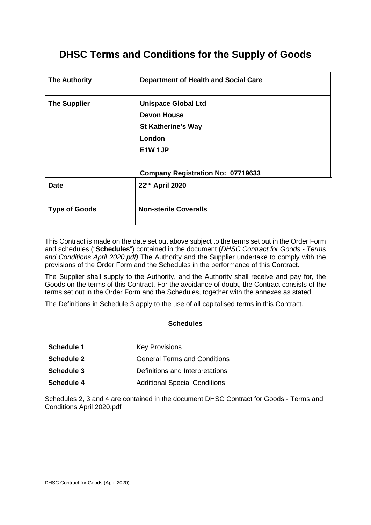## **DHSC Terms and Conditions for the Supply of Goods**

| <b>The Authority</b> | <b>Department of Health and Social Care</b> |
|----------------------|---------------------------------------------|
| <b>The Supplier</b>  | <b>Unispace Global Ltd</b>                  |
|                      | <b>Devon House</b>                          |
|                      | <b>St Katherine's Way</b>                   |
|                      | London                                      |
|                      | E1W 1JP                                     |
|                      | <b>Company Registration No: 07719633</b>    |
| <b>Date</b>          | 22nd April 2020                             |
| <b>Type of Goods</b> | <b>Non-sterile Coveralls</b>                |

This Contract is made on the date set out above subject to the terms set out in the Order Form and schedules ("**Schedules**") contained in the document (*DHSC Contract for Goods - Terms and Conditions April 2020.pdf)* The Authority and the Supplier undertake to comply with the provisions of the Order Form and the Schedules in the performance of this Contract.

The Supplier shall supply to the Authority, and the Authority shall receive and pay for, the Goods on the terms of this Contract. For the avoidance of doubt, the Contract consists of the terms set out in the Order Form and the Schedules, together with the annexes as stated.

The Definitions in Schedule 3 apply to the use of all capitalised terms in this Contract.

#### **Schedules**

| <b>Schedule 1</b> | <b>Key Provisions</b>                |
|-------------------|--------------------------------------|
| <b>Schedule 2</b> | <b>General Terms and Conditions</b>  |
| <b>Schedule 3</b> | Definitions and Interpretations      |
| <b>Schedule 4</b> | <b>Additional Special Conditions</b> |

Schedules 2, 3 and 4 are contained in the document DHSC Contract for Goods - Terms and Conditions April 2020.pdf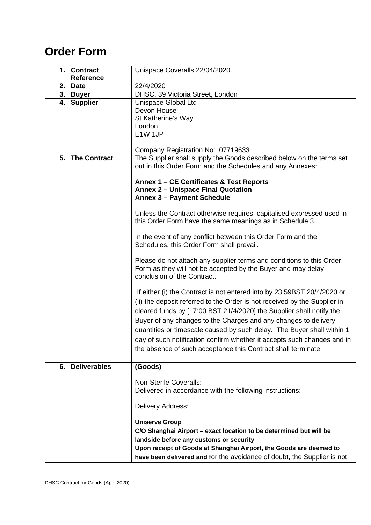# **Order Form**

|    | 1. Contract<br>Reference | Unispace Coveralls 22/04/2020                                                                                                                                                                                                                                                                                                                                                                                                                                                                                         |  |  |
|----|--------------------------|-----------------------------------------------------------------------------------------------------------------------------------------------------------------------------------------------------------------------------------------------------------------------------------------------------------------------------------------------------------------------------------------------------------------------------------------------------------------------------------------------------------------------|--|--|
| 2. | <b>Date</b>              | 22/4/2020                                                                                                                                                                                                                                                                                                                                                                                                                                                                                                             |  |  |
|    | 3. Buyer                 | DHSC, 39 Victoria Street, London                                                                                                                                                                                                                                                                                                                                                                                                                                                                                      |  |  |
|    | 4. Supplier              | Unispace Global Ltd<br>Devon House<br>St Katherine's Way<br>London<br>E1W 1JP<br>Company Registration No: 07719633                                                                                                                                                                                                                                                                                                                                                                                                    |  |  |
|    | 5. The Contract          | The Supplier shall supply the Goods described below on the terms set<br>out in this Order Form and the Schedules and any Annexes:<br>Annex 1 - CE Certificates & Test Reports<br><b>Annex 2 - Unispace Final Quotation</b><br><b>Annex 3 - Payment Schedule</b>                                                                                                                                                                                                                                                       |  |  |
|    |                          | Unless the Contract otherwise requires, capitalised expressed used in<br>this Order Form have the same meanings as in Schedule 3.                                                                                                                                                                                                                                                                                                                                                                                     |  |  |
|    |                          | In the event of any conflict between this Order Form and the<br>Schedules, this Order Form shall prevail.                                                                                                                                                                                                                                                                                                                                                                                                             |  |  |
|    |                          | Please do not attach any supplier terms and conditions to this Order<br>Form as they will not be accepted by the Buyer and may delay<br>conclusion of the Contract.                                                                                                                                                                                                                                                                                                                                                   |  |  |
|    |                          | If either (i) the Contract is not entered into by 23:59BST 20/4/2020 or<br>(ii) the deposit referred to the Order is not received by the Supplier in<br>cleared funds by [17:00 BST 21/4/2020] the Supplier shall notify the<br>Buyer of any changes to the Charges and any changes to delivery<br>quantities or timescale caused by such delay. The Buyer shall within 1<br>day of such notification confirm whether it accepts such changes and in<br>the absence of such acceptance this Contract shall terminate. |  |  |
| 6. | <b>Deliverables</b>      | (Goods)                                                                                                                                                                                                                                                                                                                                                                                                                                                                                                               |  |  |
|    |                          | <b>Non-Sterile Coveralls:</b><br>Delivered in accordance with the following instructions:<br>Delivery Address:<br><b>Uniserve Group</b><br>C/O Shanghai Airport - exact location to be determined but will be<br>landside before any customs or security<br>Upon receipt of Goods at Shanghai Airport, the Goods are deemed to<br>have been delivered and for the avoidance of doubt, the Supplier is not                                                                                                             |  |  |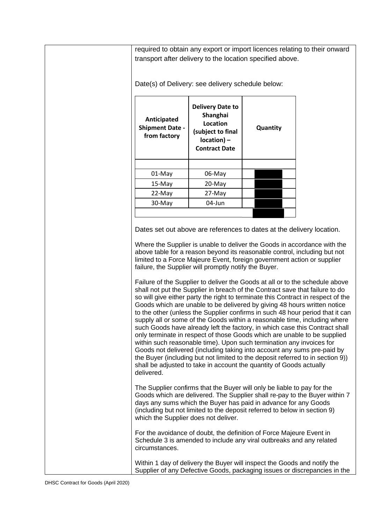required to obtain any export or import licences relating to their onward transport after delivery to the location specified above.

Date(s) of Delivery: see delivery schedule below:

| Anticipated<br><b>Shipment Date -</b><br>from factory | <b>Delivery Date to</b><br>Shanghai<br>Location<br>(subject to final<br>$location$ ) –<br><b>Contract Date</b> | Quantity |
|-------------------------------------------------------|----------------------------------------------------------------------------------------------------------------|----------|
|                                                       |                                                                                                                |          |
| 01-May                                                | 06-May                                                                                                         |          |
| $15-May$                                              | 20-May                                                                                                         |          |
| 22-May                                                | 27-May                                                                                                         |          |
| 30-May                                                | 04-Jun                                                                                                         |          |
|                                                       |                                                                                                                |          |

Dates set out above are references to dates at the delivery location.

Where the Supplier is unable to deliver the Goods in accordance with the above table for a reason beyond its reasonable control, including but not limited to a Force Majeure Event, foreign government action or supplier failure, the Supplier will promptly notify the Buyer.

Failure of the Supplier to deliver the Goods at all or to the schedule above shall not put the Supplier in breach of the Contract save that failure to do so will give either party the right to terminate this Contract in respect of the Goods which are unable to be delivered by giving 48 hours written notice to the other (unless the Supplier confirms in such 48 hour period that it can supply all or some of the Goods within a reasonable time, including where such Goods have already left the factory, in which case this Contract shall only terminate in respect of those Goods which are unable to be supplied within such reasonable time). Upon such termination any invoices for Goods not delivered (including taking into account any sums pre-paid by the Buyer (including but not limited to the deposit referred to in section 9)) shall be adjusted to take in account the quantity of Goods actually delivered.

The Supplier confirms that the Buyer will only be liable to pay for the Goods which are delivered. The Supplier shall re-pay to the Buyer within 7 days any sums which the Buyer has paid in advance for any Goods (including but not limited to the deposit referred to below in section 9) which the Supplier does not deliver.

For the avoidance of doubt, the definition of Force Majeure Event in Schedule 3 is amended to include any viral outbreaks and any related circumstances.

Within 1 day of delivery the Buyer will inspect the Goods and notify the Supplier of any Defective Goods, packaging issues or discrepancies in the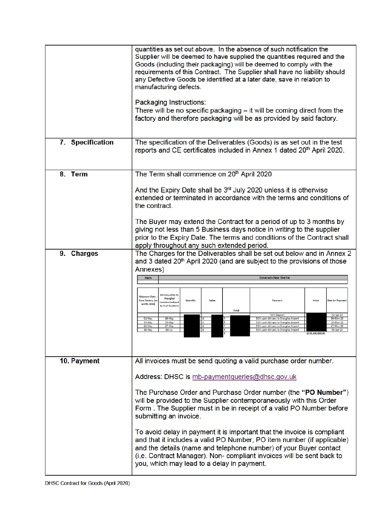|                  | quantities as set out above. In the absence of such notification the<br>Supplier will be deemed to have supplied the quantities required and the<br>Goods (including their packaging) will be deemed to comply with the<br>requirements of this Contract. The Supplier shall have no liability should<br>any Defective Goods be identified at a later date, save in relation to<br>manufacturing defects.<br>Packaging Instructions:<br>There will be no specific packaging – it will be coming direct from the<br>factory and therefore packaging will be as provided by said factory.                                                                                                                                                              |  |  |
|------------------|------------------------------------------------------------------------------------------------------------------------------------------------------------------------------------------------------------------------------------------------------------------------------------------------------------------------------------------------------------------------------------------------------------------------------------------------------------------------------------------------------------------------------------------------------------------------------------------------------------------------------------------------------------------------------------------------------------------------------------------------------|--|--|
| 7. Specification | The specification of the Deliverables (Goods) is as set out in the test<br>reports and CE certificates included in Annex 1 dated 20 <sup>th</sup> April 2020.                                                                                                                                                                                                                                                                                                                                                                                                                                                                                                                                                                                        |  |  |
| 8. Term          | The Term shall commence on 20 <sup>th</sup> April 2020<br>And the Expiry Date shall be 3 <sup>rd</sup> July 2020 unless it is otherwise<br>extended or terminated in accordance with the terms and conditions of<br>the contract.<br>The Buyer may extend the Contract for a period of up to 3 months by<br>giving not less than 5 Business days notice in writing to the supplier<br>prior to the Expiry Date. The terms and conditions of the Contract shall<br>apply throughout any such extended period.                                                                                                                                                                                                                                         |  |  |
| 9. Charges       | The Charges for the Deliverables shall be set out below and in Annex 2<br>and 3 dated 20 <sup>th</sup> April 2020 (and are subject to the provisions of those<br>Annexes)<br><b>Coveralls Non Sterile</b><br>Item<br><b>Delivery Date to</b><br><b>Shipment Date</b><br>Shanghai<br><b>Quantity</b><br>Value<br>Value<br>from factory (ex<br>Payment<br><b>Due for Payment</b><br><b>Location (subject</b><br>works date)<br>to final location)<br>Total<br>50% Deposit<br>21-Apr-20<br>01-May<br>06-May<br>06-May-20<br>50% upon delivery to Shanghai Airport<br>15-May<br>22-May<br>27-May<br>50% upon delivery to Shanghai Airport<br>27-May-20<br>30-May<br>50% upon delivery to Shanghai Airport<br>$04 - J$ un<br>04-Jun-20<br>£239,600,000.00 |  |  |
| 10. Payment      | All invoices must be send quoting a valid purchase order number.<br>Address: DHSC is mb-paymentqueries@dhsc.gov.uk<br>The Purchase Order and Purchase Order number (the "PO Number")<br>will be provided to the Supplier contemporaneously with this Order<br>Form. The Supplier must in be in receipt of a valid PO Number before<br>submitting an invoice.<br>To avoid delay in payment it is important that the invoice is compliant<br>and that it includes a valid PO Number, PO item number (if applicable)<br>and the details (name and telephone number) of your Buyer contact<br>(i.e. Contract Manager). Non-compliant invoices will be sent back to<br>you, which may lead to a delay in payment.                                         |  |  |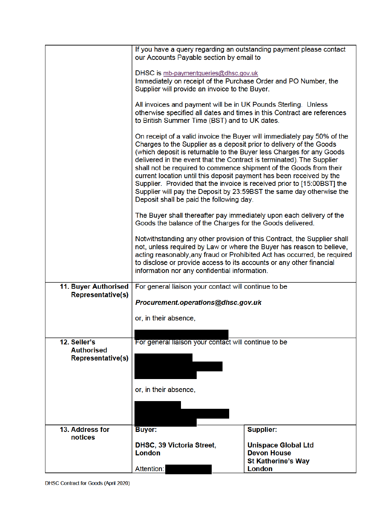|                          | our Accounts Payable section by email to                                                                                                                                                                                                                                                                                                                                                                                                                                                                                                                                                                                                     | If you have a query regarding an outstanding payment please contact     |  |
|--------------------------|----------------------------------------------------------------------------------------------------------------------------------------------------------------------------------------------------------------------------------------------------------------------------------------------------------------------------------------------------------------------------------------------------------------------------------------------------------------------------------------------------------------------------------------------------------------------------------------------------------------------------------------------|-------------------------------------------------------------------------|--|
|                          | DHSC is mb-paymentqueries@dhsc.gov.uk<br>Immediately on receipt of the Purchase Order and PO Number, the<br>Supplier will provide an invoice to the Buyer.                                                                                                                                                                                                                                                                                                                                                                                                                                                                                   |                                                                         |  |
|                          | All invoices and payment will be in UK Pounds Sterling. Unless<br>to British Summer Time (BST) and to UK dates.                                                                                                                                                                                                                                                                                                                                                                                                                                                                                                                              | otherwise specified all dates and times in this Contract are references |  |
|                          | On receipt of a valid invoice the Buyer will immediately pay 50% of the<br>Charges to the Supplier as a deposit prior to delivery of the Goods<br>(which deposit is returnable to the Buyer less Charges for any Goods<br>delivered in the event that the Contract is terminated). The Supplier<br>shall not be required to commence shipment of the Goods from their<br>current location until this deposit payment has been received by the<br>Supplier. Provided that the invoice is received prior to [15:00BST] the<br>Supplier will pay the Deposit by 23:59BST the same day otherwise the<br>Deposit shall be paid the following day. |                                                                         |  |
|                          | The Buyer shall thereafter pay immediately upon each delivery of the<br>Goods the balance of the Charges for the Goods delivered.                                                                                                                                                                                                                                                                                                                                                                                                                                                                                                            |                                                                         |  |
|                          | Notwithstanding any other provision of this Contract, the Supplier shall<br>not, unless required by Law or where the Buyer has reason to believe,<br>acting reasonably, any fraud or Prohibited Act has occurred, be required<br>to disclose or provide access to its accounts or any other financial<br>information nor any confidential information.                                                                                                                                                                                                                                                                                       |                                                                         |  |
| 11. Buyer Authorised     | For general liaison your contact will continue to be                                                                                                                                                                                                                                                                                                                                                                                                                                                                                                                                                                                         |                                                                         |  |
| <b>Representative(s)</b> | Procurement.operations@dhsc.gov.uk                                                                                                                                                                                                                                                                                                                                                                                                                                                                                                                                                                                                           |                                                                         |  |
|                          |                                                                                                                                                                                                                                                                                                                                                                                                                                                                                                                                                                                                                                              |                                                                         |  |
|                          | or, in their absence,                                                                                                                                                                                                                                                                                                                                                                                                                                                                                                                                                                                                                        |                                                                         |  |
| 12. Seller's             | For general liaison your contact will continue to be                                                                                                                                                                                                                                                                                                                                                                                                                                                                                                                                                                                         |                                                                         |  |
| <b>Authorised</b>        |                                                                                                                                                                                                                                                                                                                                                                                                                                                                                                                                                                                                                                              |                                                                         |  |
| <b>Representative(s)</b> |                                                                                                                                                                                                                                                                                                                                                                                                                                                                                                                                                                                                                                              |                                                                         |  |
|                          | or, in their absence,                                                                                                                                                                                                                                                                                                                                                                                                                                                                                                                                                                                                                        |                                                                         |  |
|                          |                                                                                                                                                                                                                                                                                                                                                                                                                                                                                                                                                                                                                                              |                                                                         |  |
|                          |                                                                                                                                                                                                                                                                                                                                                                                                                                                                                                                                                                                                                                              |                                                                         |  |
| 13. Address for          | <b>Buyer:</b>                                                                                                                                                                                                                                                                                                                                                                                                                                                                                                                                                                                                                                | <b>Supplier:</b>                                                        |  |
| notices                  | DHSC, 39 Victoria Street,                                                                                                                                                                                                                                                                                                                                                                                                                                                                                                                                                                                                                    | <b>Unispace Global Ltd</b>                                              |  |
|                          | <b>London</b>                                                                                                                                                                                                                                                                                                                                                                                                                                                                                                                                                                                                                                | <b>Devon House</b>                                                      |  |
|                          | Attention:                                                                                                                                                                                                                                                                                                                                                                                                                                                                                                                                                                                                                                   | <b>St Katherine's Way</b><br><b>London</b>                              |  |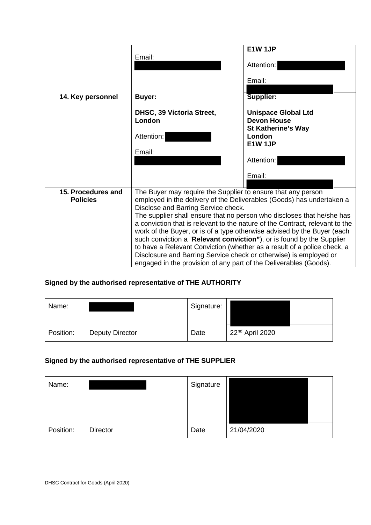|                                       | Email:                                                                                                                                                                                                                                                                                                                 | E1W 1JP<br>Attention:<br>Email:                                                                                                                                                                                                                                                                                                                                                       |
|---------------------------------------|------------------------------------------------------------------------------------------------------------------------------------------------------------------------------------------------------------------------------------------------------------------------------------------------------------------------|---------------------------------------------------------------------------------------------------------------------------------------------------------------------------------------------------------------------------------------------------------------------------------------------------------------------------------------------------------------------------------------|
|                                       |                                                                                                                                                                                                                                                                                                                        |                                                                                                                                                                                                                                                                                                                                                                                       |
| 14. Key personnel                     | <b>Buyer:</b>                                                                                                                                                                                                                                                                                                          | Supplier:                                                                                                                                                                                                                                                                                                                                                                             |
|                                       | DHSC, 39 Victoria Street,<br>London<br>Attention:                                                                                                                                                                                                                                                                      | <b>Unispace Global Ltd</b><br><b>Devon House</b><br><b>St Katherine's Way</b><br>London<br>E1W 1JP                                                                                                                                                                                                                                                                                    |
|                                       | Email:                                                                                                                                                                                                                                                                                                                 | Attention:                                                                                                                                                                                                                                                                                                                                                                            |
|                                       |                                                                                                                                                                                                                                                                                                                        | Email:                                                                                                                                                                                                                                                                                                                                                                                |
| 15. Procedures and<br><b>Policies</b> | The Buyer may require the Supplier to ensure that any person<br>Disclose and Barring Service check.<br>such conviction a "Relevant conviction"), or is found by the Supplier<br>Disclosure and Barring Service check or otherwise) is employed or<br>engaged in the provision of any part of the Deliverables (Goods). | employed in the delivery of the Deliverables (Goods) has undertaken a<br>The supplier shall ensure that no person who discloses that he/she has<br>a conviction that is relevant to the nature of the Contract, relevant to the<br>work of the Buyer, or is of a type otherwise advised by the Buyer (each<br>to have a Relevant Conviction (whether as a result of a police check, a |

## **Signed by the authorised representative of THE AUTHORITY**

| Name:     |                        | Signature: |                             |
|-----------|------------------------|------------|-----------------------------|
| Position: | <b>Deputy Director</b> | Date       | 22 <sup>nd</sup> April 2020 |

## **Signed by the authorised representative of THE SUPPLIER**

| Name:     |                 | Signature |            |  |
|-----------|-----------------|-----------|------------|--|
| Position: | <b>Director</b> | Date      | 21/04/2020 |  |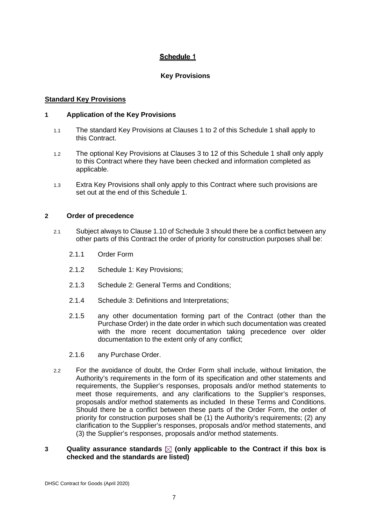### **Schedule 1**

#### **Key Provisions**

#### **Standard Key Provisions**

#### **1 Application of the Key Provisions**

- 1.1 The standard Key Provisions at Clauses 1 to 2 of this Schedule 1 shall apply to this Contract.
- 1.2 The optional Key Provisions at Clauses 3 to 12 of this Schedule 1 shall only apply to this Contract where they have been checked and information completed as applicable.
- 1.3 Extra Key Provisions shall only apply to this Contract where such provisions are set out at the end of this Schedule 1.

#### **2 Order of precedence**

- 2.1 Subject always to Clause 1.10 of Schedule 3 should there be a conflict between any other parts of this Contract the order of priority for construction purposes shall be:
	- 2.1.1 Order Form
	- 2.1.2 Schedule 1: Key Provisions;
	- 2.1.3 Schedule 2: General Terms and Conditions;
	- 2.1.4 Schedule 3: Definitions and Interpretations;
	- 2.1.5 any other documentation forming part of the Contract (other than the Purchase Order) in the date order in which such documentation was created with the more recent documentation taking precedence over older documentation to the extent only of any conflict;
	- 2.1.6 any Purchase Order.
- 2.2 For the avoidance of doubt, the Order Form shall include, without limitation, the Authority's requirements in the form of its specification and other statements and requirements, the Supplier's responses, proposals and/or method statements to meet those requirements, and any clarifications to the Supplier's responses, proposals and/or method statements as included In these Terms and Conditions. Should there be a conflict between these parts of the Order Form, the order of priority for construction purposes shall be (1) the Authority's requirements; (2) any clarification to the Supplier's responses, proposals and/or method statements, and (3) the Supplier's responses, proposals and/or method statements.

#### **3 Quality assurance standards**  $\boxtimes$  **(only applicable to the Contract if this box is checked and the standards are listed)**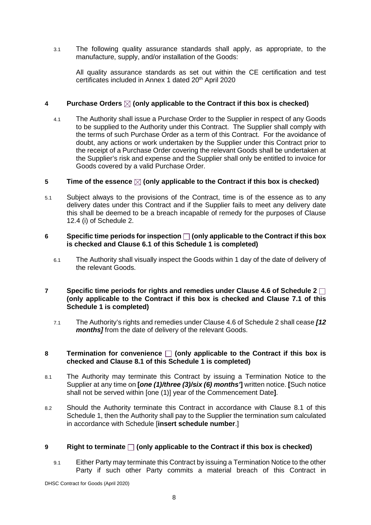3.1 The following quality assurance standards shall apply, as appropriate, to the manufacture, supply, and/or installation of the Goods:

All quality assurance standards as set out within the CE certification and test certificates included in Annex 1 dated 20<sup>th</sup> April 2020

#### **4 Purchase Orders (only applicable to the Contract if this box is checked)**

4.1 The Authority shall issue a Purchase Order to the Supplier in respect of any Goods to be supplied to the Authority under this Contract. The Supplier shall comply with the terms of such Purchase Order as a term of this Contract. For the avoidance of doubt, any actions or work undertaken by the Supplier under this Contract prior to the receipt of a Purchase Order covering the relevant Goods shall be undertaken at the Supplier's risk and expense and the Supplier shall only be entitled to invoice for Goods covered by a valid Purchase Order.

#### **5 Time of the essence**  $\boxtimes$  **(only applicable to the Contract if this box is checked)**

5.1 Subject always to the provisions of the Contract, time is of the essence as to any delivery dates under this Contract and if the Supplier fails to meet any delivery date this shall be deemed to be a breach incapable of remedy for the purposes of Clause 12.4 (i) of Schedule 2.

#### **6 Specific time periods for inspection (only applicable to the Contract if this box is checked and Clause 6.1 of this Schedule 1 is completed)**

6.1 The Authority shall visually inspect the Goods within 1 day of the date of delivery of the relevant Goods.

#### **7 Specific time periods for rights and remedies under Clause 4.6 of Schedule 2 (only applicable to the Contract if this box is checked and Clause 7.1 of this Schedule 1 is completed)**

7.1 The Authority's rights and remedies under Clause 4.6 of Schedule 2 shall cease *[12 months]* from the date of delivery of the relevant Goods.

#### **8 Termination for convenience**  $\Box$  (only applicable to the Contract if this box is **checked and Clause 8.1 of this Schedule 1 is completed)**

- 8.1 The Authority may terminate this Contract by issuing a Termination Notice to the Supplier at any time on **[***one (1)/three (3)/six (6) months'***]** written notice. **[**Such notice shall not be served within [one (1)] year of the Commencement Date**]**.
- 8.2 Should the Authority terminate this Contract in accordance with Clause 8.1 of this Schedule 1, then the Authority shall pay to the Supplier the termination sum calculated in accordance with Schedule [**insert schedule number**.]

#### **9 Right to terminate**  $\Box$  (only applicable to the Contract if this box is checked)

9.1 Either Party may terminate this Contract by issuing a Termination Notice to the other Party if such other Party commits a material breach of this Contract in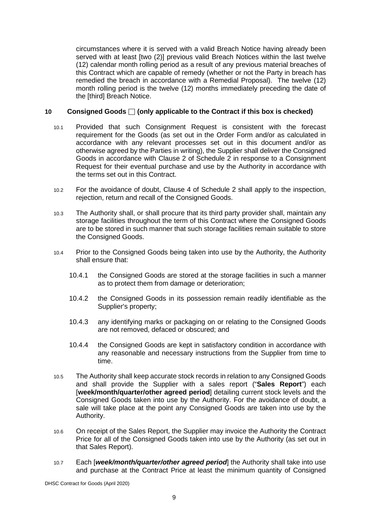circumstances where it is served with a valid Breach Notice having already been served with at least [two (2)] previous valid Breach Notices within the last twelve (12) calendar month rolling period as a result of any previous material breaches of this Contract which are capable of remedy (whether or not the Party in breach has remedied the breach in accordance with a Remedial Proposal). The twelve (12) month rolling period is the twelve (12) months immediately preceding the date of the [third] Breach Notice.

#### **10 Consigned Goods**  $\Box$  (only applicable to the Contract if this box is checked)

- 10.1 Provided that such Consignment Request is consistent with the forecast requirement for the Goods (as set out in the Order Form and/or as calculated in accordance with any relevant processes set out in this document and/or as otherwise agreed by the Parties in writing), the Supplier shall deliver the Consigned Goods in accordance with Clause 2 of Schedule 2 in response to a Consignment Request for their eventual purchase and use by the Authority in accordance with the terms set out in this Contract.
- 10.2 For the avoidance of doubt, Clause 4 of Schedule 2 shall apply to the inspection, rejection, return and recall of the Consigned Goods.
- 10.3 The Authority shall, or shall procure that its third party provider shall, maintain any storage facilities throughout the term of this Contract where the Consigned Goods are to be stored in such manner that such storage facilities remain suitable to store the Consigned Goods.
- 10.4 Prior to the Consigned Goods being taken into use by the Authority, the Authority shall ensure that:
	- 10.4.1 the Consigned Goods are stored at the storage facilities in such a manner as to protect them from damage or deterioration;
	- 10.4.2 the Consigned Goods in its possession remain readily identifiable as the Supplier's property;
	- 10.4.3 any identifying marks or packaging on or relating to the Consigned Goods are not removed, defaced or obscured; and
	- 10.4.4 the Consigned Goods are kept in satisfactory condition in accordance with any reasonable and necessary instructions from the Supplier from time to time.
- 10.5 The Authority shall keep accurate stock records in relation to any Consigned Goods and shall provide the Supplier with a sales report ("**Sales Report**") each [**week/month/quarter/other agreed period**] detailing current stock levels and the Consigned Goods taken into use by the Authority. For the avoidance of doubt, a sale will take place at the point any Consigned Goods are taken into use by the Authority.
- 10.6 On receipt of the Sales Report, the Supplier may invoice the Authority the Contract Price for all of the Consigned Goods taken into use by the Authority (as set out in that Sales Report).
- 10.7 Each [*week/month/quarter/other agreed period*] the Authority shall take into use and purchase at the Contract Price at least the minimum quantity of Consigned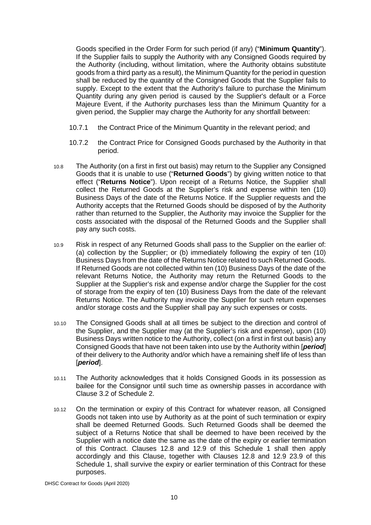Goods specified in the Order Form for such period (if any) ("**Minimum Quantity**"). If the Supplier fails to supply the Authority with any Consigned Goods required by the Authority (including, without limitation, where the Authority obtains substitute goods from a third party as a result), the Minimum Quantity for the period in question shall be reduced by the quantity of the Consigned Goods that the Supplier fails to supply. Except to the extent that the Authority's failure to purchase the Minimum Quantity during any given period is caused by the Supplier's default or a Force Majeure Event, if the Authority purchases less than the Minimum Quantity for a given period, the Supplier may charge the Authority for any shortfall between:

- 10.7.1 the Contract Price of the Minimum Quantity in the relevant period; and
- 10.7.2 the Contract Price for Consigned Goods purchased by the Authority in that period.
- 10.8 The Authority (on a first in first out basis) may return to the Supplier any Consigned Goods that it is unable to use ("**Returned Goods**") by giving written notice to that effect ("**Returns Notice**"). Upon receipt of a Returns Notice, the Supplier shall collect the Returned Goods at the Supplier's risk and expense within ten (10) Business Days of the date of the Returns Notice. If the Supplier requests and the Authority accepts that the Returned Goods should be disposed of by the Authority rather than returned to the Supplier, the Authority may invoice the Supplier for the costs associated with the disposal of the Returned Goods and the Supplier shall pay any such costs.
- 10.9 Risk in respect of any Returned Goods shall pass to the Supplier on the earlier of: (a) collection by the Supplier; or (b) immediately following the expiry of ten (10) Business Days from the date of the Returns Notice related to such Returned Goods. If Returned Goods are not collected within ten (10) Business Days of the date of the relevant Returns Notice, the Authority may return the Returned Goods to the Supplier at the Supplier's risk and expense and/or charge the Supplier for the cost of storage from the expiry of ten (10) Business Days from the date of the relevant Returns Notice. The Authority may invoice the Supplier for such return expenses and/or storage costs and the Supplier shall pay any such expenses or costs.
- 10.10 The Consigned Goods shall at all times be subject to the direction and control of the Supplier, and the Supplier may (at the Supplier's risk and expense), upon (10) Business Days written notice to the Authority, collect (on a first in first out basis) any Consigned Goods that have not been taken into use by the Authority within [*period*] of their delivery to the Authority and/or which have a remaining shelf life of less than [*period*].
- 10.11 The Authority acknowledges that it holds Consigned Goods in its possession as bailee for the Consignor until such time as ownership passes in accordance with Clause 3.2 of Schedule 2.
- 10.12 On the termination or expiry of this Contract for whatever reason, all Consigned Goods not taken into use by Authority as at the point of such termination or expiry shall be deemed Returned Goods. Such Returned Goods shall be deemed the subject of a Returns Notice that shall be deemed to have been received by the Supplier with a notice date the same as the date of the expiry or earlier termination of this Contract. Clauses 12.8 and 12.9 of this Schedule 1 shall then apply accordingly and this Clause, together with Clauses 12.8 and 12.9 23.9 of this Schedule 1, shall survive the expiry or earlier termination of this Contract for these purposes.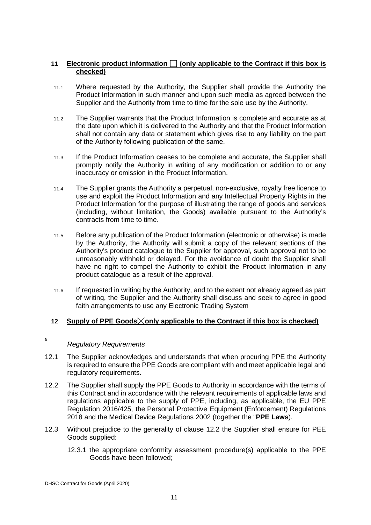#### **11 Electronic product information (only applicable to the Contract if this box is checked)**

- 11.1 Where requested by the Authority, the Supplier shall provide the Authority the Product Information in such manner and upon such media as agreed between the Supplier and the Authority from time to time for the sole use by the Authority.
- 11.2 The Supplier warrants that the Product Information is complete and accurate as at the date upon which it is delivered to the Authority and that the Product Information shall not contain any data or statement which gives rise to any liability on the part of the Authority following publication of the same.
- 11.3 If the Product Information ceases to be complete and accurate, the Supplier shall promptly notify the Authority in writing of any modification or addition to or any inaccuracy or omission in the Product Information.
- 11.4 The Supplier grants the Authority a perpetual, non-exclusive, royalty free licence to use and exploit the Product Information and any Intellectual Property Rights in the Product Information for the purpose of illustrating the range of goods and services (including, without limitation, the Goods) available pursuant to the Authority's contracts from time to time.
- 11.5 Before any publication of the Product Information (electronic or otherwise) is made by the Authority, the Authority will submit a copy of the relevant sections of the Authority's product catalogue to the Supplier for approval, such approval not to be unreasonably withheld or delayed. For the avoidance of doubt the Supplier shall have no right to compel the Authority to exhibit the Product Information in any product catalogue as a result of the approval.
- 11.6 If requested in writing by the Authority, and to the extent not already agreed as part of writing, the Supplier and the Authority shall discuss and seek to agree in good faith arrangements to use any Electronic Trading System

#### **12** Supply of PPE Goods⊠only applicable to the Contract if this box is checked)

#### *Regulatory Requirements*

**.**

- 12.1 The Supplier acknowledges and understands that when procuring PPE the Authority is required to ensure the PPE Goods are compliant with and meet applicable legal and regulatory requirements.
- 12.2 The Supplier shall supply the PPE Goods to Authority in accordance with the terms of this Contract and in accordance with the relevant requirements of applicable laws and regulations applicable to the supply of PPE, including, as applicable, the EU PPE Regulation 2016/425, the Personal Protective Equipment (Enforcement) Regulations 2018 and the Medical Device Regulations 2002 (together the "**PPE Laws**).
- 12.3 Without prejudice to the generality of clause 12.2 the Supplier shall ensure for PEE Goods supplied:
	- 12.3.1 the appropriate conformity assessment procedure(s) applicable to the PPE Goods have been followed;